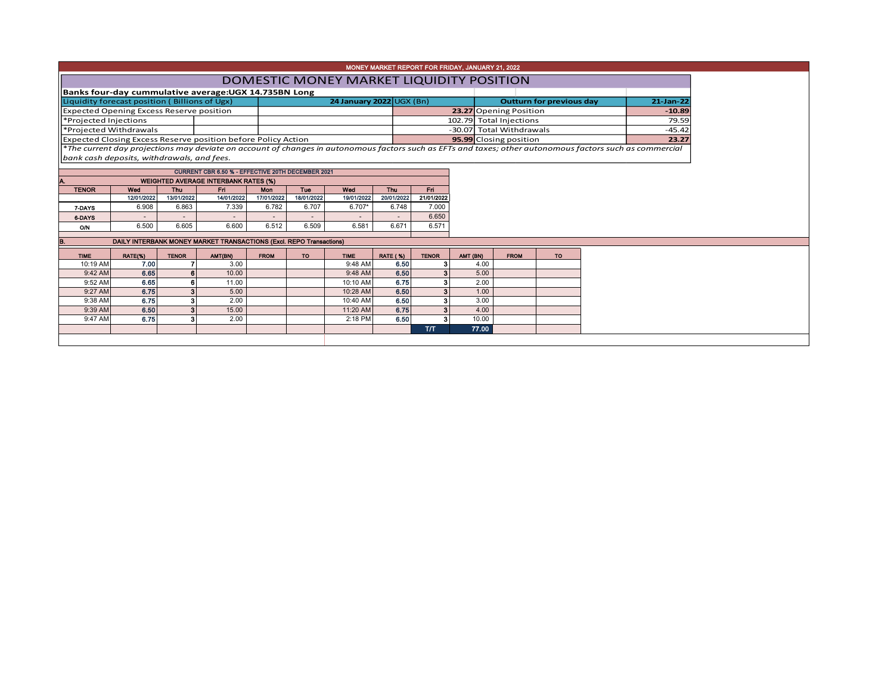| MONEY MARKET REPORT FOR FRIDAY, JANUARY 21, 2022 |            |                                             |                                                                      |             |            |                          |                          |                         |          |                          |                                 |           |          |                                                                                                                                                          |
|--------------------------------------------------|------------|---------------------------------------------|----------------------------------------------------------------------|-------------|------------|--------------------------|--------------------------|-------------------------|----------|--------------------------|---------------------------------|-----------|----------|----------------------------------------------------------------------------------------------------------------------------------------------------------|
| DOMESTIC MONEY MARKET LIQUIDITY POSITION         |            |                                             |                                                                      |             |            |                          |                          |                         |          |                          |                                 |           |          |                                                                                                                                                          |
|                                                  |            |                                             | Banks four-day cummulative average: UGX 14.735BN Long                |             |            |                          |                          |                         |          |                          |                                 |           |          |                                                                                                                                                          |
| Liquidity forecast position (Billions of Ugx)    |            |                                             |                                                                      |             |            |                          | 24 January 2022 UGX (Bn) |                         |          |                          | <b>Outturn for previous day</b> | 21-Jan-22 |          |                                                                                                                                                          |
| <b>Expected Opening Excess Reserve position</b>  |            |                                             |                                                                      |             |            |                          |                          |                         |          | 23.27 Opening Position   | $-10.89$                        |           |          |                                                                                                                                                          |
| *Projected Injections                            |            |                                             |                                                                      |             |            |                          |                          |                         |          | 102.79 Total Injections  |                                 |           |          | 79.59                                                                                                                                                    |
| *Projected Withdrawals                           |            |                                             |                                                                      |             |            |                          |                          |                         |          | -30.07 Total Withdrawals |                                 |           | $-45.42$ |                                                                                                                                                          |
|                                                  |            |                                             | <b>Expected Closing Excess Reserve position before Policy Action</b> |             |            |                          |                          |                         |          |                          | 95.99 Closing position          |           |          | 23.27                                                                                                                                                    |
|                                                  |            |                                             |                                                                      |             |            |                          |                          |                         |          |                          |                                 |           |          | *The current day projections may deviate on account of changes in autonomous factors such as EFTs and taxes; other autonomous factors such as commercial |
| bank cash deposits, withdrawals, and fees.       |            |                                             |                                                                      |             |            |                          |                          |                         |          |                          |                                 |           |          |                                                                                                                                                          |
|                                                  |            |                                             | CURRENT CBR 6.50 % - EFFECTIVE 20TH DECEMBER 2021                    |             |            |                          |                          |                         |          |                          |                                 |           |          |                                                                                                                                                          |
|                                                  |            | <b>WEIGHTED AVERAGE INTERBANK RATES (%)</b> |                                                                      |             |            |                          |                          |                         |          |                          |                                 |           |          |                                                                                                                                                          |
| <b>TENOR</b>                                     | Wed        | Thu                                         | Fn.                                                                  | <b>Mon</b>  | Tue        | Wed                      | <b>Thu</b>               | Fri.                    |          |                          |                                 |           |          |                                                                                                                                                          |
|                                                  | 12/01/2022 | 13/01/2022                                  | 14/01/2022                                                           | 17/01/2022  | 18/01/2022 | 19/01/2022               | 20/01/2022               | 21/01/2022              |          |                          |                                 |           |          |                                                                                                                                                          |
| 7 DAYS                                           | 6.908      | 6.863                                       | 7.339                                                                | 6.782       | 6.707      | $6.707*$                 | 6.748                    | 7.000                   |          |                          |                                 |           |          |                                                                                                                                                          |
| <b>6-DAYS</b>                                    |            |                                             |                                                                      | $\sim$      | $\sim$     | $\overline{\phantom{a}}$ | $\overline{\phantom{a}}$ | 6.650                   |          |                          |                                 |           |          |                                                                                                                                                          |
| O/N                                              | 6.500      | 6.605                                       | 6.600                                                                | 6.512       | 6.509      | 6.581                    | 6.671                    | 6.571                   |          |                          |                                 |           |          |                                                                                                                                                          |
|                                                  |            |                                             | DAILY INTERBANK MONEY MARKET TRANSACTIONS (Excl. REPO Transactions)  |             |            |                          |                          |                         |          |                          |                                 |           |          |                                                                                                                                                          |
|                                                  |            |                                             |                                                                      |             |            |                          |                          |                         |          |                          |                                 |           |          |                                                                                                                                                          |
| <b>TIME</b>                                      | RATE(%)    | <b>TENOR</b>                                | AMT(BN)                                                              | <b>FROM</b> | <b>TO</b>  | <b>TIME</b>              | <b>RATE (%)</b>          | <b>TENOR</b>            | AMT (BN) |                          | <b>FROM</b>                     | <b>TO</b> |          |                                                                                                                                                          |
| 10:19 AM                                         | 7.00       |                                             | 3.00                                                                 |             |            | 9:48 AM                  | 6.50                     | з                       |          | 4.00                     |                                 |           |          |                                                                                                                                                          |
| 9:42 AM                                          | 6.65       | 6                                           | 10.00                                                                |             |            | 9:48 AM                  | 6.50                     | $\overline{\mathbf{3}}$ |          | 5.00                     |                                 |           |          |                                                                                                                                                          |
| 9:52 AM                                          | 6.65       |                                             | 11.00                                                                |             |            | 10:10 AM                 | 6.75                     | 3                       |          | 2.00                     |                                 |           |          |                                                                                                                                                          |
| 9:27 AM                                          | 6.75       |                                             | 5.00                                                                 |             |            | 10:28 AM                 | 6.50                     | 3                       |          | 1.00                     |                                 |           |          |                                                                                                                                                          |
| 9:38 AM                                          | 6.75       |                                             | 2.00                                                                 |             |            | 10:40 AM                 | 6.50                     | 3                       |          | 3.00                     |                                 |           |          |                                                                                                                                                          |
| 9:39 AM                                          | 6.50       |                                             | 15.00                                                                |             |            | 11:20 AM                 | 6.75                     | 3 <sup>1</sup>          |          | 4.00                     |                                 |           |          |                                                                                                                                                          |
| 9:47 AM                                          | 6.75       |                                             | 2.00                                                                 |             |            | 2:18 PM                  | 6.50                     | 3                       | 10.00    |                          |                                 |           |          |                                                                                                                                                          |
|                                                  |            |                                             |                                                                      |             |            |                          |                          | <b>T/T</b>              | 77.00    |                          |                                 |           |          |                                                                                                                                                          |
|                                                  |            |                                             |                                                                      |             |            |                          |                          |                         |          |                          |                                 |           |          |                                                                                                                                                          |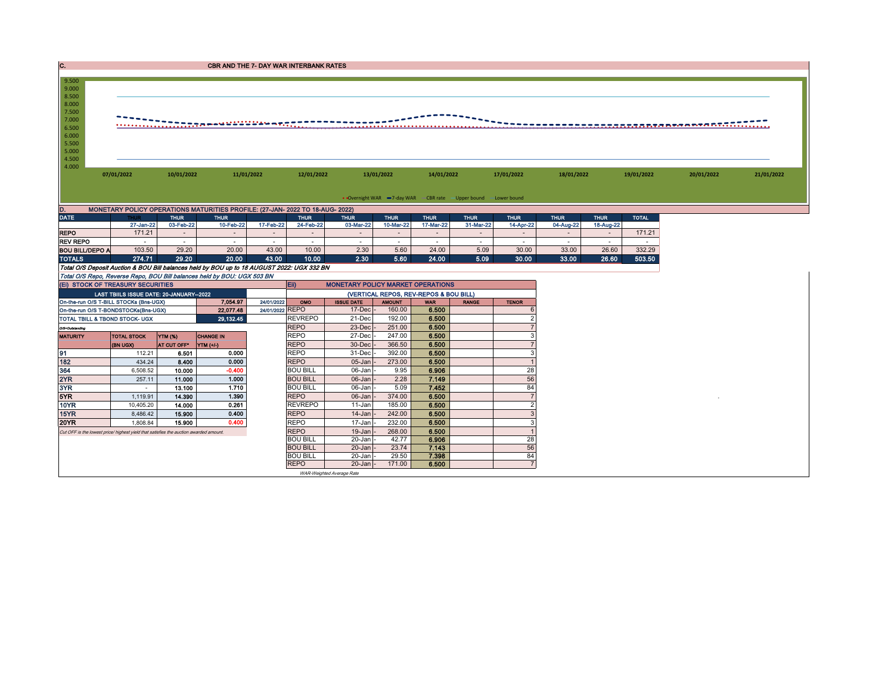| IC.                                                                                                                       | <b>CBR AND THE 7- DAY WAR INTERBANK RATES</b>                     |                  |                                                                                            |                               |                               |                                          |                         |                                        |                  |                                 |                  |                  |                  |  |  |
|---------------------------------------------------------------------------------------------------------------------------|-------------------------------------------------------------------|------------------|--------------------------------------------------------------------------------------------|-------------------------------|-------------------------------|------------------------------------------|-------------------------|----------------------------------------|------------------|---------------------------------|------------------|------------------|------------------|--|--|
|                                                                                                                           |                                                                   |                  |                                                                                            |                               |                               |                                          |                         |                                        |                  |                                 |                  |                  |                  |  |  |
| 9.500<br>9.000<br>8.500<br>8.000<br>7.500<br>7.000<br><del></del><br>sseareamentotoli<br>6.500<br>6.000<br>5.500<br>5.000 |                                                                   |                  |                                                                                            |                               |                               |                                          |                         |                                        |                  |                                 |                  |                  |                  |  |  |
| 4.500<br>4.000                                                                                                            | 07/01/2022<br>10/01/2022<br>11/01/2022                            |                  |                                                                                            | 12/01/2022                    | 13/01/2022                    | 17/01/2022<br>14/01/2022                 |                         |                                        | 18/01/2022       |                                 | 19/01/2022       | 20/01/2022       | 21/01/2022       |  |  |
|                                                                                                                           | • Overnight WAR -7-day WAR - CBR rate - Upper bound - Lower bound |                  |                                                                                            |                               |                               |                                          |                         |                                        |                  |                                 |                  |                  |                  |  |  |
| D.                                                                                                                        |                                                                   |                  | MONETARY POLICY OPERATIONS MATURITIES PROFILE: (27-JAN- 2022 TO 18-AUG- 2022)              |                               |                               |                                          |                         |                                        |                  |                                 |                  |                  |                  |  |  |
| <b>DATE</b>                                                                                                               |                                                                   | <b>THUR</b>      | <b>THUR</b>                                                                                |                               | <b>THUR</b>                   | <b>THUR</b>                              | <b>THUR</b>             | <b>THUR</b>                            | <b>THUR</b>      | <b>THUR</b>                     | <b>THUR</b>      | <b>THUR</b>      | <b>TOTAL</b>     |  |  |
|                                                                                                                           | 27-Jan-22                                                         | 03-Feb-22        | 10-Feb-22                                                                                  | 17-Feb-22                     | 24-Feb-22                     | 03-Mar-22                                | 10-Mar-22               | 17-Mar-22                              | 31-Mar-22        | 14-Apr-22                       | 04-Aug-22        | 18-Aug-22        |                  |  |  |
| <b>REPO</b><br><b>REV REPO</b>                                                                                            | 171.21<br>$\sim$                                                  | $\sim$<br>$\sim$ | $\sim$<br>$\sim$                                                                           | $\sim$<br>$\sim$              | $\sim$<br>$\sim$              | $\sim$<br>$\sim$                         | $\sim$<br>$\sim$        | $\sim$<br>$\sim$                       | $\sim$<br>$\sim$ | $\sim$<br>$\sim$                | $\sim$<br>$\sim$ | $\sim$<br>$\sim$ | 171.21<br>$\sim$ |  |  |
| <b>BOU BILL/DEPO A</b>                                                                                                    | 103.50                                                            | 29.20            | 20.00                                                                                      | 43.00                         | 10.00                         | 2.30                                     | 5.60                    | 24.00                                  | 5.09             | 30.00                           | 33.00            | 26.60            | 332.29           |  |  |
| <b>TOTALS</b>                                                                                                             | 274.71                                                            | 29.20            | 20.00                                                                                      | 43.00                         | 10.00                         | 2.30                                     | 5.60                    | 24.00                                  | 5.09             | 30.00                           | 33.00            | 26.60            | 503.50           |  |  |
|                                                                                                                           |                                                                   |                  | Total O/S Deposit Auction & BOU Bill balances held by BOU up to 18 AUGUST 2022: UGX 332 BN |                               |                               |                                          |                         |                                        |                  |                                 |                  |                  |                  |  |  |
|                                                                                                                           |                                                                   |                  | Total O/S Repo, Reverse Repo, BOU Bill balances held by BOU: UGX 503 BN                    |                               |                               |                                          |                         |                                        |                  |                                 |                  |                  |                  |  |  |
| (EI) STOCK OF TREASURY SECURITIES                                                                                         |                                                                   |                  |                                                                                            |                               | Eii)                          | <b>MONETARY POLICY MARKET OPERATIONS</b> |                         |                                        |                  |                                 |                  |                  |                  |  |  |
|                                                                                                                           | LAST TBIILS ISSUE DATE: 20-JANUARY-2022                           |                  |                                                                                            |                               |                               |                                          |                         | (VERTICAL REPOS, REV-REPOS & BOU BILL) |                  |                                 |                  |                  |                  |  |  |
| On-the-run O/S T-BILL STOCKs (Bns-UGX)                                                                                    |                                                                   |                  | 7,054.97<br>22,077.48                                                                      | 24/01/2022<br>24/01/2022 REPO | OMO                           | <b>ISSUE DATE</b><br>$17 - Dec$          | <b>THUOMA</b><br>160.00 | <b>WAR</b><br>6.500                    | <b>RANGE</b>     | <b>TENOR</b>                    |                  |                  |                  |  |  |
| On-the-run O/S T-BONDSTOCKs(Bns-UGX)<br>TOTAL TBILL & TBOND STOCK- UGX                                                    |                                                                   |                  | 29,132.45                                                                                  |                               | <b>REVREPO</b>                | 21-Dec                                   | 192.00                  | 6.500                                  |                  |                                 |                  |                  |                  |  |  |
| O/S=Outstanding                                                                                                           |                                                                   |                  |                                                                                            |                               | <b>REPO</b>                   | 23-Dec                                   | 251.00                  | 6.500                                  |                  |                                 |                  |                  |                  |  |  |
| <b>MATURITY</b>                                                                                                           | <b>TOTAL STOCK</b>                                                | <b>YTM (%)</b>   | <b>CHANGE IN</b>                                                                           |                               | <b>REPO</b>                   | 27-Dec                                   | 247.00                  | 6.500                                  |                  | 3                               |                  |                  |                  |  |  |
|                                                                                                                           | (BN UGX)                                                          | AT CUT OFF*      | YTM (+/-)                                                                                  |                               | <b>REPO</b>                   | 30-Dec                                   | 366.50                  | 6.500                                  |                  |                                 |                  |                  |                  |  |  |
| 91                                                                                                                        | 112.21                                                            | 6.501            | 0.000                                                                                      |                               | <b>REPO</b>                   | 31-Dec                                   | 392.00                  | 6.500                                  |                  | 3                               |                  |                  |                  |  |  |
| 182                                                                                                                       | 434.24                                                            | 8.400            | 0.000                                                                                      |                               | <b>REPO</b>                   | 05-Jan                                   | 273.00                  | 6.500                                  |                  |                                 |                  |                  |                  |  |  |
| 364                                                                                                                       | 6,508.52                                                          | 10.000           | $-0.400$                                                                                   |                               | <b>BOU BILL</b>               | 06-Jan                                   | 9.95                    | 6.906                                  |                  | 28                              |                  |                  |                  |  |  |
| 2YR                                                                                                                       | 257.11                                                            | 11.000           | 1.000                                                                                      |                               | <b>BOU BILL</b>               | 06-Jan                                   | 2.28                    | 7.149                                  |                  | 56                              |                  |                  |                  |  |  |
| 3YR                                                                                                                       | $\sim$                                                            | 13.100           | 1.710                                                                                      |                               | <b>BOU BILL</b>               | 06-Jan                                   | 5.09                    | 7.452                                  |                  | 84                              |                  |                  |                  |  |  |
| 5YR                                                                                                                       | 1,119.91                                                          | 14.390           | 1.390                                                                                      |                               | <b>REPO</b>                   | 06-Jan                                   | 374.00                  | 6.500                                  |                  | $\overline{7}$<br>$\mathcal{P}$ |                  |                  |                  |  |  |
| <b>10YR</b><br>15YR                                                                                                       | 10,405.20<br>8,486.42                                             | 14.000<br>15.900 | 0.261<br>0.400                                                                             |                               | <b>REVREPO</b><br><b>REPO</b> | 11-Jan<br>14-Jan                         | 185.00<br>242.00        | 6.500<br>6.500                         |                  | 3                               |                  |                  |                  |  |  |
| <b>20YR</b>                                                                                                               | 1,808.84                                                          | 15,900           | 0.400                                                                                      |                               | <b>REPO</b>                   | 17-Jan                                   | 232.00                  | 6.500                                  |                  | 3                               |                  |                  |                  |  |  |
| Cut OFF is the lowest price/ highest yield that satisfies the auction awarded amount.                                     |                                                                   |                  | <b>REPO</b>                                                                                | 19-Jan                        | 268.00                        | 6.500                                    |                         |                                        |                  |                                 |                  |                  |                  |  |  |
|                                                                                                                           |                                                                   |                  | <b>BOU BILL</b>                                                                            | 20-Jan                        | 42.77                         | 6.906                                    |                         | 28                                     |                  |                                 |                  |                  |                  |  |  |
|                                                                                                                           |                                                                   |                  |                                                                                            |                               | <b>BOU BILL</b>               | $20 - Jan$                               | 23.74                   | 7.143                                  |                  | 56                              |                  |                  |                  |  |  |
|                                                                                                                           |                                                                   |                  |                                                                                            |                               | <b>BOU BILL</b>               | $20$ -Jan                                | 29.50                   | 7.398                                  |                  | 84                              |                  |                  |                  |  |  |
|                                                                                                                           |                                                                   |                  |                                                                                            |                               | <b>REPO</b>                   | $20$ -Jan $\vert$ -                      | 171.00                  | 6.500                                  |                  |                                 |                  |                  |                  |  |  |
|                                                                                                                           | WAR-Weighted Average Rate                                         |                  |                                                                                            |                               |                               |                                          |                         |                                        |                  |                                 |                  |                  |                  |  |  |